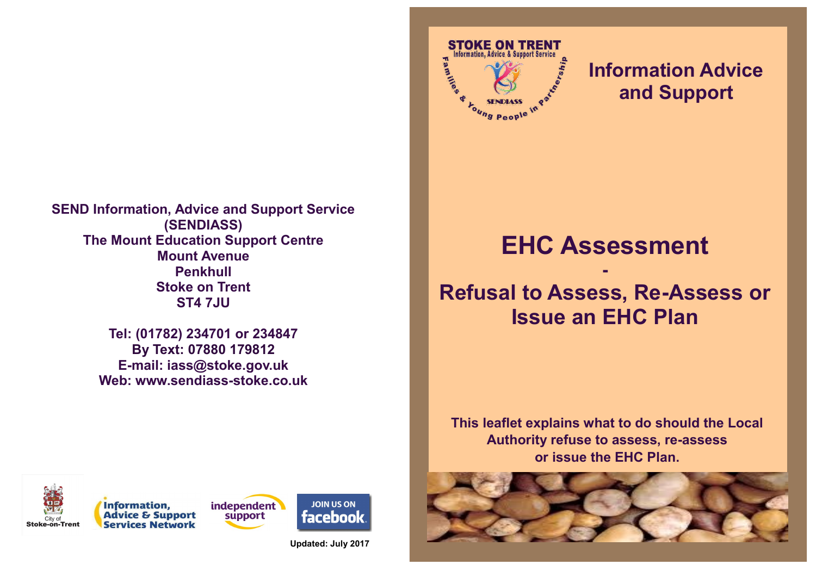**SEND Information, Advice and Support Service (SENDIASS) The Mount Education Support Centre Mount Avenue Penkhull Stoke on Trent ST4 7JU**

> **Tel: (01782) 234701 or 234847 By Text: 07880 179812 E-mail: iass@stoke.gov.uk Web: www.sendiass-stoke.co.uk**



### **Information Advice and Support**

# **EHC Assessment**

**-**

## **Refusal to Assess, Re-Assess or Issue an EHC Plan**

**This leaflet explains what to do should the Local Authority refuse to assess, re-assess or issue the EHC Plan.**









**JOIN US ON facebook** 

**Updated: July 2017**